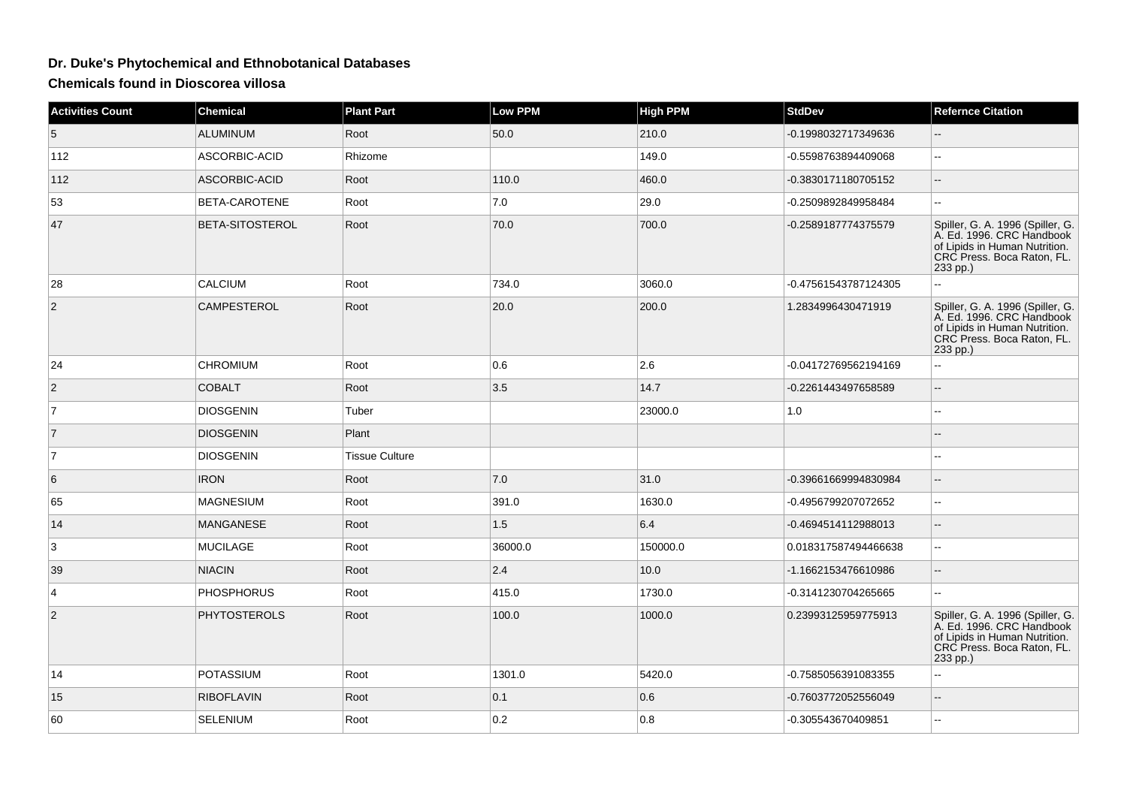## **Dr. Duke's Phytochemical and Ethnobotanical Databases**

**Chemicals found in Dioscorea villosa**

| <b>Activities Count</b> | <b>Chemical</b>        | <b>Plant Part</b>     | <b>Low PPM</b> | <b>High PPM</b> | <b>StdDev</b>        | <b>Refernce Citation</b>                                                                                                                 |
|-------------------------|------------------------|-----------------------|----------------|-----------------|----------------------|------------------------------------------------------------------------------------------------------------------------------------------|
| 5                       | <b>ALUMINUM</b>        | Root                  | 50.0           | 210.0           | -0.1998032717349636  |                                                                                                                                          |
| 112                     | ASCORBIC-ACID          | Rhizome               |                | 149.0           | -0.5598763894409068  | $\overline{\phantom{a}}$                                                                                                                 |
| 112                     | ASCORBIC-ACID          | Root                  | 110.0          | 460.0           | -0.3830171180705152  | $\overline{a}$                                                                                                                           |
| 53                      | BETA-CAROTENE          | Root                  | 7.0            | 29.0            | -0.2509892849958484  |                                                                                                                                          |
| 47                      | <b>BETA-SITOSTEROL</b> | Root                  | 70.0           | 700.0           | -0.2589187774375579  | Spiller, G. A. 1996 (Spiller, G.<br>A. Ed. 1996. CRC Handbook<br>of Lipids in Human Nutrition.<br>CRC Press. Boca Raton, FL.<br>233 pp.) |
| 28                      | <b>CALCIUM</b>         | Root                  | 734.0          | 3060.0          | -0.47561543787124305 |                                                                                                                                          |
| $\overline{2}$          | <b>CAMPESTEROL</b>     | Root                  | 20.0           | 200.0           | 1.2834996430471919   | Spiller, G. A. 1996 (Spiller, G.<br>A. Ed. 1996. CRC Handbook<br>of Lipids in Human Nutrition.<br>CRC Press. Boca Raton, FL.<br>233 pp.) |
| 24                      | <b>CHROMIUM</b>        | Root                  | 0.6            | 2.6             | -0.04172769562194169 | u.                                                                                                                                       |
| $\overline{2}$          | <b>COBALT</b>          | Root                  | 3.5            | 14.7            | -0.2261443497658589  |                                                                                                                                          |
| $\overline{7}$          | <b>DIOSGENIN</b>       | Tuber                 |                | 23000.0         | 1.0                  | --                                                                                                                                       |
| $\overline{7}$          | <b>DIOSGENIN</b>       | Plant                 |                |                 |                      |                                                                                                                                          |
| $\overline{7}$          | <b>DIOSGENIN</b>       | <b>Tissue Culture</b> |                |                 |                      |                                                                                                                                          |
| 6                       | <b>IRON</b>            | Root                  | 7.0            | 31.0            | -0.39661669994830984 |                                                                                                                                          |
| 65                      | <b>MAGNESIUM</b>       | Root                  | 391.0          | 1630.0          | -0.4956799207072652  | $\sim$                                                                                                                                   |
| 14                      | <b>MANGANESE</b>       | Root                  | 1.5            | 6.4             | -0.4694514112988013  | $\overline{a}$                                                                                                                           |
| 3                       | <b>MUCILAGE</b>        | Root                  | 36000.0        | 150000.0        | 0.018317587494466638 | ۵۵                                                                                                                                       |
| 39                      | <b>NIACIN</b>          | Root                  | 2.4            | 10.0            | -1.1662153476610986  | $-$                                                                                                                                      |
| 4                       | <b>PHOSPHORUS</b>      | Root                  | 415.0          | 1730.0          | -0.3141230704265665  |                                                                                                                                          |
| 2                       | <b>PHYTOSTEROLS</b>    | Root                  | 100.0          | 1000.0          | 0.23993125959775913  | Spiller, G. A. 1996 (Spiller, G.<br>A. Ed. 1996. CRC Handbook<br>of Lipids in Human Nutrition.<br>CRC Press. Boca Raton, FL.<br>233 pp.) |
| 14                      | <b>POTASSIUM</b>       | Root                  | 1301.0         | 5420.0          | -0.7585056391083355  |                                                                                                                                          |
| 15                      | <b>RIBOFLAVIN</b>      | Root                  | $ 0.1\rangle$  | 0.6             | -0.7603772052556049  | $\mathbf{u}$                                                                                                                             |
| 60                      | <b>SELENIUM</b>        | Root                  | 0.2            | 0.8             | -0.305543670409851   |                                                                                                                                          |